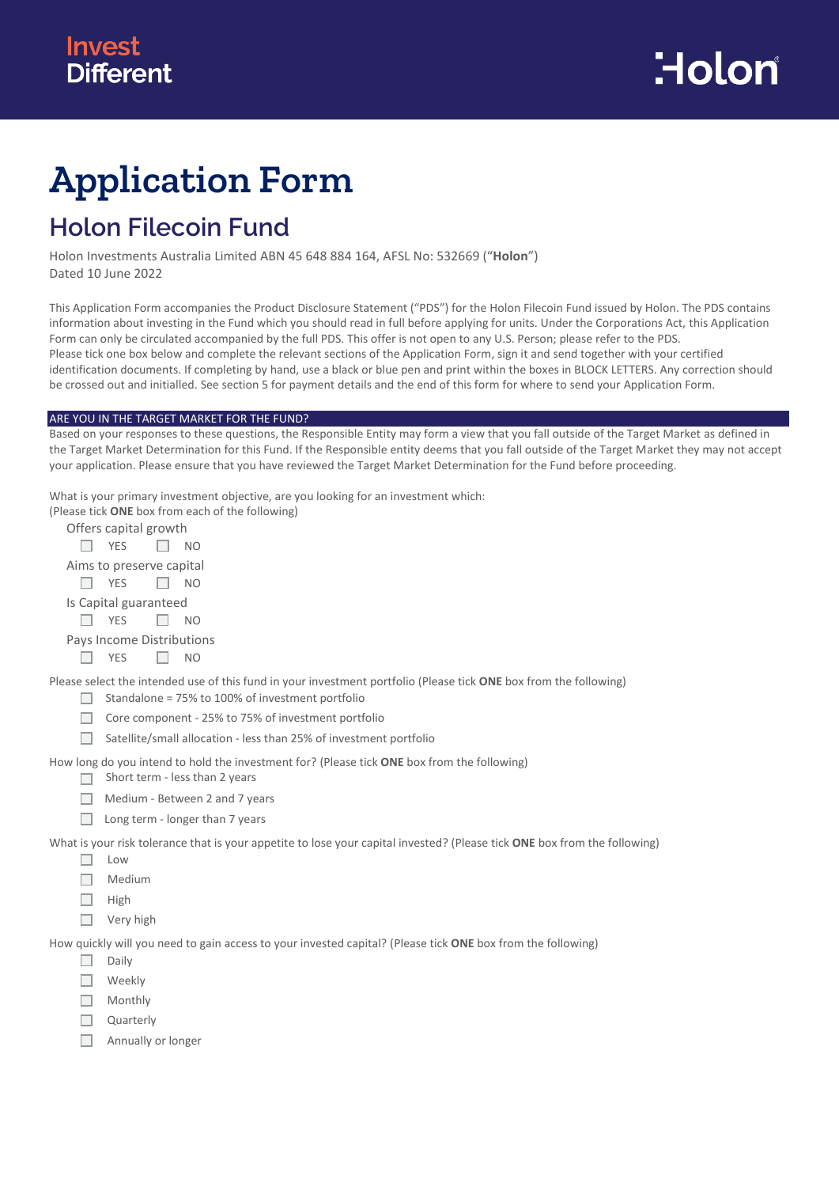# **Application Form**

# **Holon Filecoin Fund**

Holon Investments Australia Limited ABN 45 648 884 164, AFSL No: 532669 ("**Holon**") Dated 10 June 2022

This Application Form accompanies the Product Disclosure Statement ("PDS") for the Holon Filecoin Fund issued by Holon. The PDS contains information about investing in the Fund which you should read in full before applying for units. Under the Corporations Act, this Application Form can only be circulated accompanied by the full PDS. This offer is not open to any U.S. Person; please refer to the PDS. Please tick one box below and complete the relevant sections of the Application Form, sign it and send together with your certified identification documents. If completing by hand, use a black or blue pen and print within the boxes in BLOCK LETTERS. Any correction should be crossed out and initialled. See section 5 for payment details and the end of this form for where to send your Application Form.

#### ARE YOU IN THE TARGET MARKET FOR THE FUND?

Based on your responses to these questions, the Responsible Entity may form a view that you fall outside of the Target Market as defined in the Target Market Determination for this Fund. If the Responsible entity deems that you fall outside of the Target Market they may not accept your application. Please ensure that you have reviewed the Target Market Determination for the Fund before proceeding.

What is your primary investment objective, are you looking for an investment which:

| (Please tick <b>ONE</b> box from each of the following)                                                                   |
|---------------------------------------------------------------------------------------------------------------------------|
| Offers capital growth                                                                                                     |
| <b>YES</b><br>NO.                                                                                                         |
| Aims to preserve capital                                                                                                  |
| <b>YES</b><br>NO.                                                                                                         |
| Is Capital guaranteed                                                                                                     |
| <b>YES</b><br>NO.                                                                                                         |
| Pays Income Distributions                                                                                                 |
| <b>YES</b><br>NO.                                                                                                         |
| Please select the intended use of this fund in your investment portfolio (Please tick ONE box from the following)         |
| Standalone = 75% to 100% of investment portfolio                                                                          |
| Core component - 25% to 75% of investment portfolio                                                                       |
| Satellite/small allocation - less than 25% of investment portfolio                                                        |
| How long do you intend to hold the investment for? (Please tick <b>ONE</b> box from the following)                        |
| Short term - less than 2 years                                                                                            |
| Medium - Between 2 and 7 years                                                                                            |
| Long term - longer than 7 years                                                                                           |
| What is your risk tolerance that is your appetite to lose your capital invested? (Please tick ONE box from the following) |

- $\Box$  Low
- $\Box$  Medium
- $\Box$  High
- □ Very high

How quickly will you need to gain access to your invested capital? (Please tick **ONE** box from the following)

- $\Box$  Daily
- □ Weekly
- $\Box$  Monthly
- Quarterly П.
- $\Box$ Annually or longer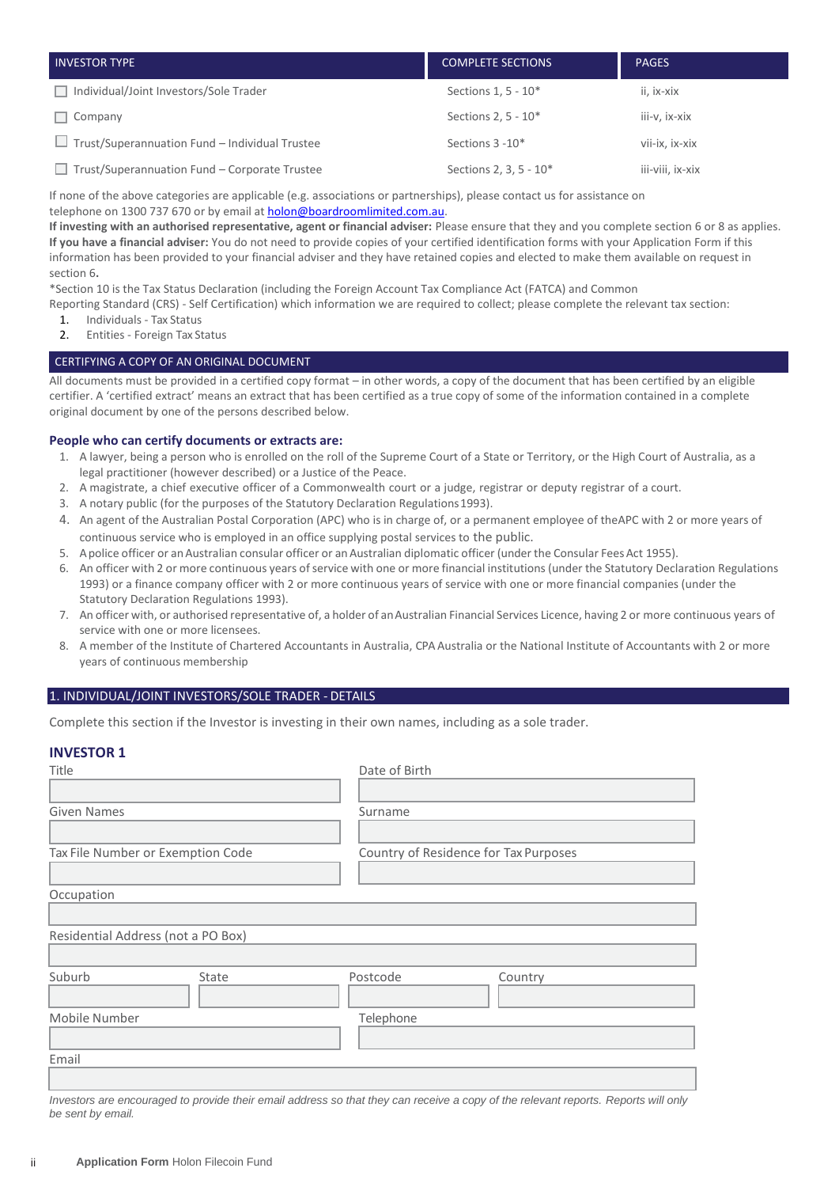| <b>INVESTOR TYPE</b>                           | <b>COMPLETE SECTIONS</b> | <b>PAGES</b>     |
|------------------------------------------------|--------------------------|------------------|
| Individual/Joint Investors/Sole Trader         | Sections 1, 5 - 10*      | ii, ix-xix       |
| Company                                        | Sections 2, 5 - 10*      | iii-v, ix-xix    |
| Trust/Superannuation Fund - Individual Trustee | Sections 3 - 10*         | vii-ix. ix-xix   |
| Trust/Superannuation Fund - Corporate Trustee  | Sections 2, 3, 5 - 10*   | iii-viii, ix-xix |

If none of the above categories are applicable (e.g. associations or partnerships), please contact us for assistance on telephone on 1300 737 670 or by email at [holon@boardroomlimited.com.au.](mailto:holon@boardroomlimited.com.au)

**If investing with an authorised representative, agent or financial adviser:** Please ensure that they and you complete section 6 or 8 as applies. **If you have a financial adviser:** You do not need to provide copies of your certified identification forms with your Application Form if this information has been provided to your financial adviser and they have retained copies and elected to make them available on request in section 6**.**

\*Section 10 is the Tax Status Declaration (including the Foreign Account Tax Compliance Act (FATCA) and Common

Reporting Standard (CRS) - Self Certification) which information we are required to collect; please complete the relevant tax section:

- 1. Individuals Tax Status<br>2. Fotities Foreign Tax St
- 2. Entities Foreign Tax Status

#### CERTIFYING A COPY OF AN ORIGINAL DOCUMENT

All documents must be provided in a certified copy format – in other words, a copy of the document that has been certified by an eligible certifier. A 'certified extract' means an extract that has been certified as a true copy of some of the information contained in a complete original document by one of the persons described below.

#### **People who can certify documents or extracts are:**

- 1. A lawyer, being a person who is enrolled on the roll of the Supreme Court of a State or Territory, or the High Court of Australia, as a legal practitioner (however described) or a Justice of the Peace.
- 2. A magistrate, a chief executive officer of a Commonwealth court or a judge, registrar or deputy registrar of a court.
- 3. A notary public (for the purposes of the Statutory Declaration Regulations1993).
- 4. An agent of the Australian Postal Corporation (APC) who is in charge of, or a permanent employee of theAPC with 2 or more years of continuous service who is employed in an office supplying postal services to the public.
- 5. Apolice officer or anAustralian consular officer or anAustralian diplomatic officer (under the Consular FeesAct 1955).
- 6. An officer with 2 or more continuous years of service with one or more financial institutions (under the Statutory Declaration Regulations 1993) or a finance company officer with 2 or more continuous years of service with one or more financial companies (under the Statutory Declaration Regulations 1993).
- 7. An officer with, or authorised representative of, a holder of an Australian Financial Services Licence, having 2 or more continuous years of service with one or more licensees.
- 8. A member of the Institute of Chartered Accountants in Australia, CPA Australia or the National Institute of Accountants with 2 or more years of continuous membership

#### 1. INDIVIDUAL/JOINT INVESTORS/SOLE TRADER - DETAILS

Complete this section if the Investor is investing in their own names, including as a sole trader.

#### **INVESTOR 1**

| Title                              |       | Date of Birth                         |                                                                                                                                    |
|------------------------------------|-------|---------------------------------------|------------------------------------------------------------------------------------------------------------------------------------|
|                                    |       |                                       |                                                                                                                                    |
| <b>Given Names</b>                 |       | Surname                               |                                                                                                                                    |
|                                    |       |                                       |                                                                                                                                    |
| Tax File Number or Exemption Code  |       | Country of Residence for Tax Purposes |                                                                                                                                    |
|                                    |       |                                       |                                                                                                                                    |
| Occupation                         |       |                                       |                                                                                                                                    |
|                                    |       |                                       |                                                                                                                                    |
| Residential Address (not a PO Box) |       |                                       |                                                                                                                                    |
|                                    |       |                                       |                                                                                                                                    |
| Suburb                             | State | Postcode                              | Country                                                                                                                            |
|                                    |       |                                       |                                                                                                                                    |
| Mobile Number                      |       | Telephone                             |                                                                                                                                    |
|                                    |       |                                       |                                                                                                                                    |
| Email                              |       |                                       |                                                                                                                                    |
|                                    |       |                                       |                                                                                                                                    |
|                                    |       |                                       | Investors are encouraged to provide their email address so that they can receive a copy of the relevant reports. Reports will only |

*Investors are encouraged to provide their email address so that they can receive a copy of the relevant reports. Reports will only be sent by email.*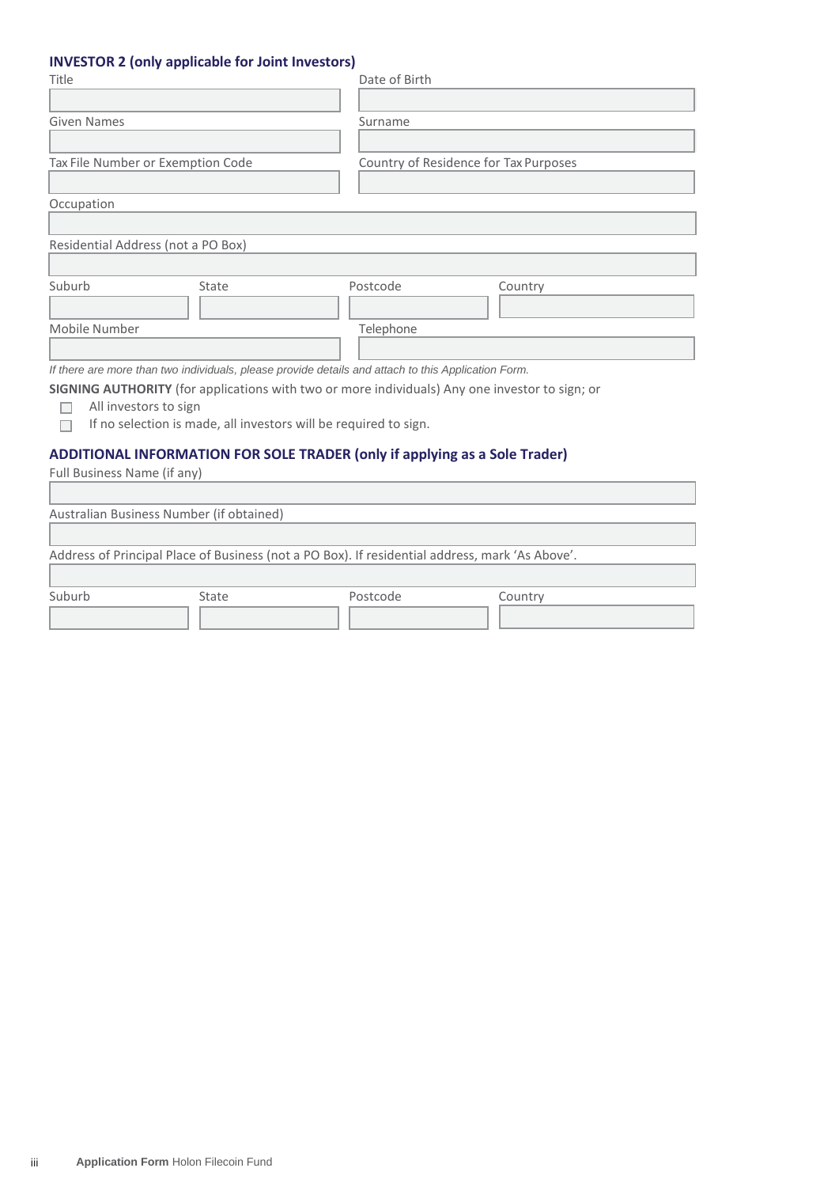# **INVESTOR 2 (only applicable for Joint Investors)**

| Title                              |       | Date of Birth                                                                                                                                                      |                                       |
|------------------------------------|-------|--------------------------------------------------------------------------------------------------------------------------------------------------------------------|---------------------------------------|
| Given Names                        |       | Surname                                                                                                                                                            |                                       |
| Tax File Number or Exemption Code  |       |                                                                                                                                                                    | Country of Residence for Tax Purposes |
| Occupation                         |       |                                                                                                                                                                    |                                       |
| Residential Address (not a PO Box) |       |                                                                                                                                                                    |                                       |
| Suburb                             | State | Postcode                                                                                                                                                           | Country                               |
| Mobile Number                      |       | Telephone                                                                                                                                                          |                                       |
|                                    |       | If there are more than two individuals, please provide details and attach to this Application Form.                                                                |                                       |
| All investors to sign              |       | SIGNING AUTHORITY (for applications with two or more individuals) Any one investor to sign; or<br>If no selection is made, all investors will be required to sign. |                                       |
| Full Business Name (if any)        |       | ADDITIONAL INFORMATION FOR SOLE TRADER (only if applying as a Sole Trader)                                                                                         |                                       |

| $\frac{1}{2}$ . Sin $\frac{1}{2}$ sections in the section of $\frac{1}{2}$ |                                          |                                                                                                 |         |  |
|----------------------------------------------------------------------------|------------------------------------------|-------------------------------------------------------------------------------------------------|---------|--|
|                                                                            |                                          |                                                                                                 |         |  |
|                                                                            | Australian Business Number (if obtained) |                                                                                                 |         |  |
|                                                                            |                                          |                                                                                                 |         |  |
|                                                                            |                                          | Address of Principal Place of Business (not a PO Box). If residential address, mark 'As Above'. |         |  |
| Suburb                                                                     | State                                    | Postcode                                                                                        | Country |  |
|                                                                            |                                          |                                                                                                 |         |  |
|                                                                            |                                          |                                                                                                 |         |  |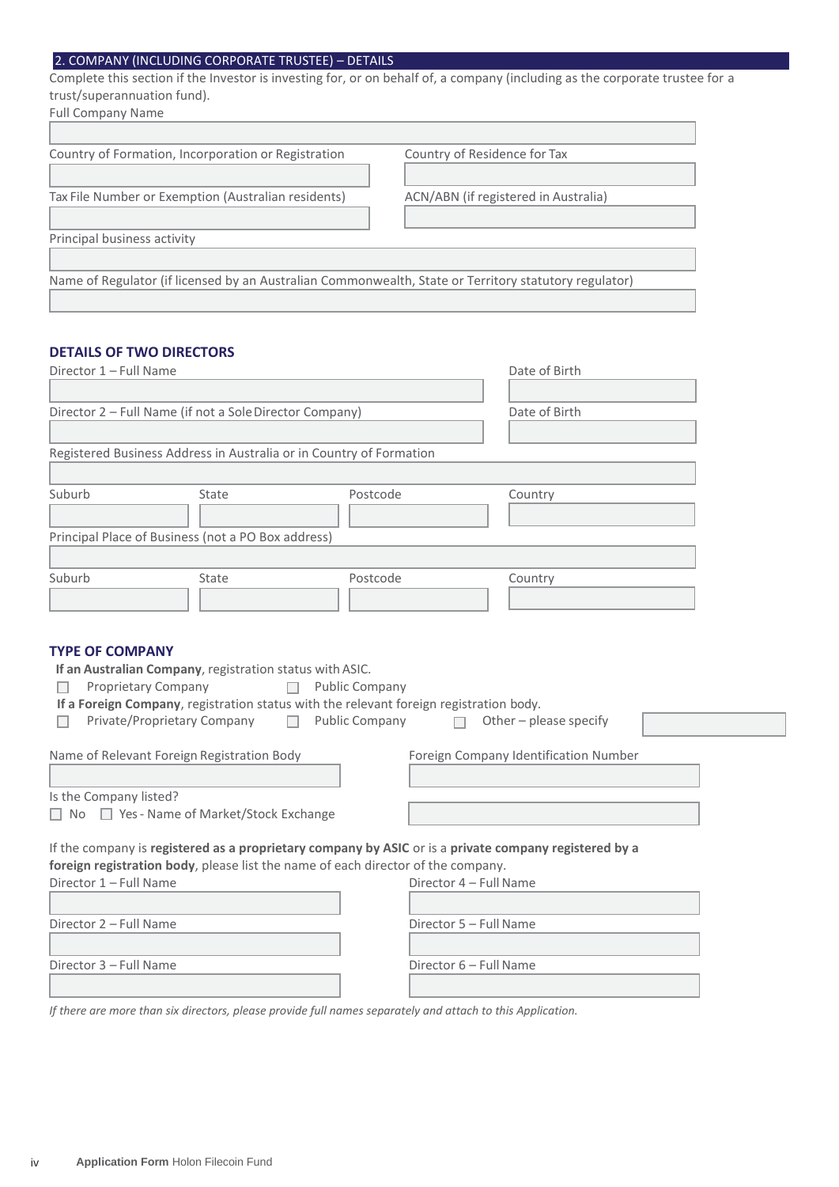# 2. COMPANY (INCLUDING CORPORATE TRUSTEE) – DETAILS

Complete this section if the Investor is investing for, or on behalf of, a company (including as the corporate trustee for a trust/superannuation fund).

| <b>Full Company Name</b>                                                                              |                                      |
|-------------------------------------------------------------------------------------------------------|--------------------------------------|
| Country of Formation, Incorporation or Registration                                                   | Country of Residence for Tax         |
|                                                                                                       |                                      |
| Tax File Number or Exemption (Australian residents)                                                   | ACN/ABN (if registered in Australia) |
| Principal business activity                                                                           |                                      |
|                                                                                                       |                                      |
| Name of Regulator (if licensed by an Australian Commonwealth, State or Territory statutory regulator) |                                      |

# **DETAILS OF TWO DIRECTORS**

| Director 1 - Full Name                                                                                                                                                                                                                                           | Date of Birth                                                                                              |
|------------------------------------------------------------------------------------------------------------------------------------------------------------------------------------------------------------------------------------------------------------------|------------------------------------------------------------------------------------------------------------|
| Director 2 - Full Name (if not a Sole Director Company)                                                                                                                                                                                                          | Date of Birth                                                                                              |
| Registered Business Address in Australia or in Country of Formation                                                                                                                                                                                              |                                                                                                            |
| Suburb<br>State                                                                                                                                                                                                                                                  | Postcode<br>Country                                                                                        |
| Principal Place of Business (not a PO Box address)                                                                                                                                                                                                               |                                                                                                            |
| Suburb<br>State                                                                                                                                                                                                                                                  | Postcode<br>Country                                                                                        |
| If an Australian Company, registration status with ASIC.<br>Proprietary Company<br>If a Foreign Company, registration status with the relevant foreign registration body.<br>Private/Proprietary Company<br>$\Box$<br>Name of Relevant Foreign Registration Body | <b>Public Company</b><br>Public Company<br>Other - please specify<br>Foreign Company Identification Number |
|                                                                                                                                                                                                                                                                  |                                                                                                            |
| Is the Company listed?<br>□ No □ Yes - Name of Market/Stock Exchange                                                                                                                                                                                             |                                                                                                            |
| If the company is registered as a proprietary company by ASIC or is a private company registered by a<br>foreign registration body, please list the name of each director of the company.<br>Director 1 - Full Name                                              | Director 4 - Full Name                                                                                     |
| Director 2 - Full Name                                                                                                                                                                                                                                           | Director 5 - Full Name                                                                                     |
| Director 3 - Full Name                                                                                                                                                                                                                                           | Director 6 - Full Name                                                                                     |

*If there are more than six directors, please provide full names separately and attach to this Application.*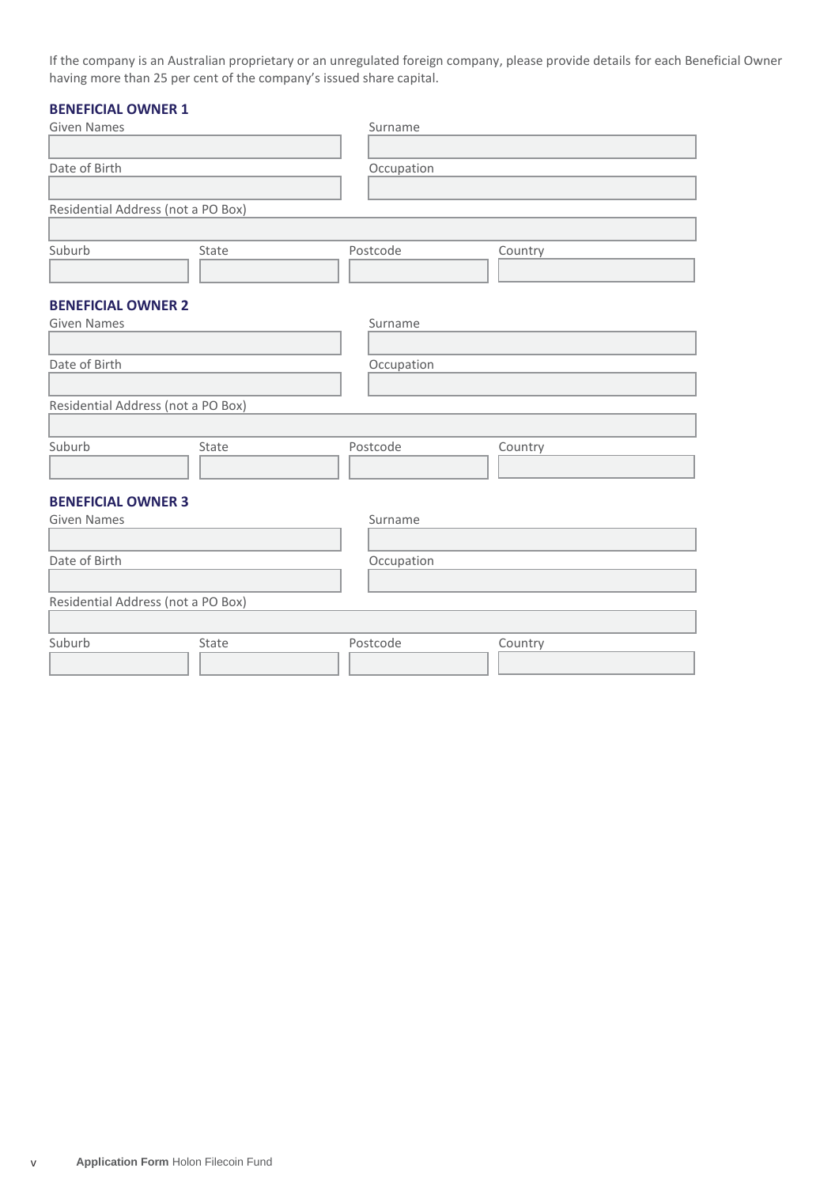If the company is an Australian proprietary or an unregulated foreign company, please provide details for each Beneficial Owner having more than 25 per cent of the company's issued share capital.

# **BENEFICIAL OWNER 1**

| <b>Given Names</b>                 |       | Surname    |         |
|------------------------------------|-------|------------|---------|
|                                    |       |            |         |
| Date of Birth                      |       | Occupation |         |
|                                    |       |            |         |
| Residential Address (not a PO Box) |       |            |         |
|                                    |       |            |         |
| Suburb                             | State | Postcode   | Country |
|                                    |       |            |         |
|                                    |       |            |         |
| <b>BENEFICIAL OWNER 2</b>          |       |            |         |
| <b>Given Names</b>                 |       | Surname    |         |
|                                    |       |            |         |
| Date of Birth                      |       | Occupation |         |
|                                    |       |            |         |
| Residential Address (not a PO Box) |       |            |         |
|                                    |       |            |         |
| Suburb                             | State | Postcode   | Country |
|                                    |       |            |         |
|                                    |       |            |         |
| <b>BENEFICIAL OWNER 3</b>          |       |            |         |
| <b>Given Names</b>                 |       | Surname    |         |
|                                    |       |            |         |
| Date of Birth                      |       | Occupation |         |
|                                    |       |            |         |
| Residential Address (not a PO Box) |       |            |         |
|                                    |       |            |         |
| Suburb                             | State | Postcode   | Country |
|                                    |       |            |         |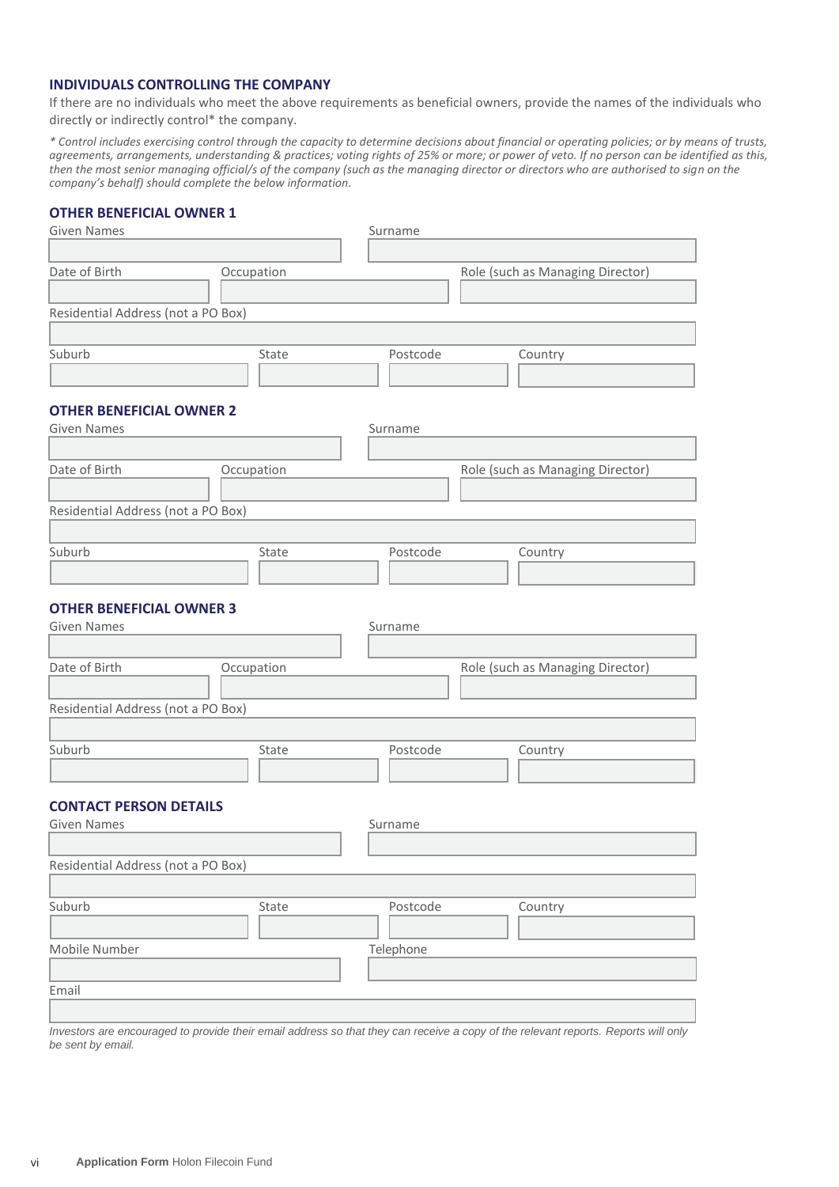# **INDIVIDUALS CONTROLLING THE COMPANY**

If there are no individuals who meet the above requirements as beneficial owners, provide the names of the individuals who directly or indirectly control\* the company.

*\* Control includes exercising control through the capacity to determine decisions about financial or operating policies; or by means of trusts, agreements, arrangements, understanding & practices; voting rights of 25% or more; or power of veto. If no person can be identified as this, then the most senior managing official/s of the company (such as the managing director or directors who are authorised to sign on the company's behalf) should complete the below information.*

#### **OTHER BENEFICIAL OWNER 1**

| <b>Given Names</b>                                    |            | Surname   |                                  |
|-------------------------------------------------------|------------|-----------|----------------------------------|
|                                                       |            |           |                                  |
| Date of Birth                                         | Occupation |           | Role (such as Managing Director) |
|                                                       |            |           |                                  |
| Residential Address (not a PO Box)                    |            |           |                                  |
|                                                       |            |           |                                  |
| Suburb                                                | State      | Postcode  | Country                          |
|                                                       |            |           |                                  |
| <b>OTHER BENEFICIAL OWNER 2</b>                       |            |           |                                  |
| <b>Given Names</b>                                    |            | Surname   |                                  |
|                                                       |            |           |                                  |
| Date of Birth                                         | Occupation |           | Role (such as Managing Director) |
|                                                       |            |           |                                  |
| Residential Address (not a PO Box)                    |            |           |                                  |
|                                                       |            |           |                                  |
| Suburb                                                | State      | Postcode  | Country                          |
|                                                       |            |           |                                  |
|                                                       |            |           |                                  |
| <b>OTHER BENEFICIAL OWNER 3</b><br><b>Given Names</b> |            | Surname   |                                  |
|                                                       |            |           |                                  |
| Date of Birth                                         | Occupation |           | Role (such as Managing Director) |
|                                                       |            |           |                                  |
| Residential Address (not a PO Box)                    |            |           |                                  |
|                                                       |            |           |                                  |
| Suburb                                                | State      | Postcode  | Country                          |
|                                                       |            |           |                                  |
|                                                       |            |           |                                  |
| <b>CONTACT PERSON DETAILS</b>                         |            |           |                                  |
| <b>Given Names</b>                                    |            | Surname   |                                  |
|                                                       |            |           |                                  |
| Residential Address (not a PO Box)                    |            |           |                                  |
|                                                       |            |           |                                  |
| Suburb                                                | State      | Postcode  | Country                          |
|                                                       |            |           |                                  |
| Mobile Number                                         |            | Telephone |                                  |
| Email                                                 |            |           |                                  |
|                                                       |            |           |                                  |

*Investors are encouraged to provide their email address so that they can receive a copy of the relevant reports. Reports will only be sent by email.*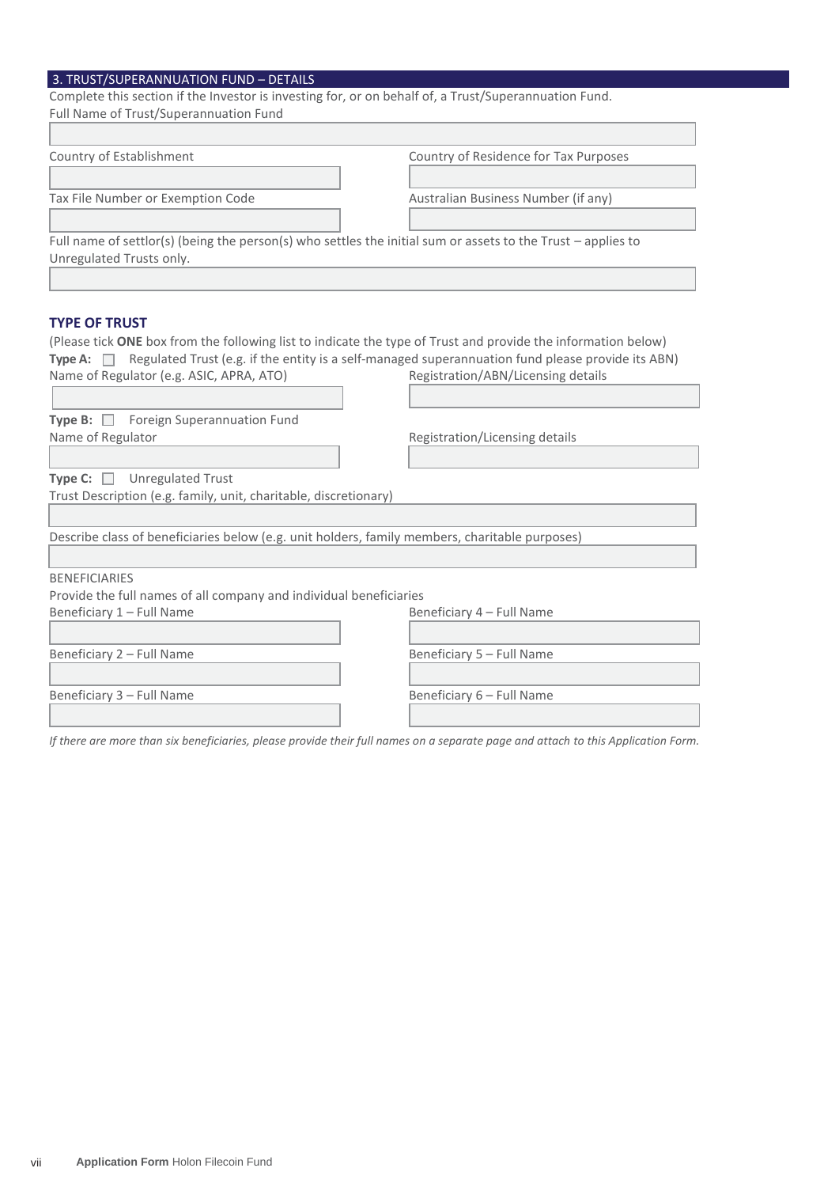# 3. TRUST/SUPERANNUATION FUND – DETAILS

| <b>3. TROST/30FERANNOATION FOND - DETAILS</b><br>Complete this section if the Investor is investing for, or on behalf of, a Trust/Superannuation Fund. |                                                                                                   |
|--------------------------------------------------------------------------------------------------------------------------------------------------------|---------------------------------------------------------------------------------------------------|
| Full Name of Trust/Superannuation Fund                                                                                                                 |                                                                                                   |
|                                                                                                                                                        |                                                                                                   |
| Country of Establishment                                                                                                                               | Country of Residence for Tax Purposes                                                             |
|                                                                                                                                                        |                                                                                                   |
| Tax File Number or Exemption Code                                                                                                                      | Australian Business Number (if any)                                                               |
| Full name of settlor(s) (being the person(s) who settles the initial sum or assets to the Trust - applies to                                           |                                                                                                   |
| Unregulated Trusts only.                                                                                                                               |                                                                                                   |
|                                                                                                                                                        |                                                                                                   |
|                                                                                                                                                        |                                                                                                   |
| <b>TYPE OF TRUST</b>                                                                                                                                   |                                                                                                   |
| (Please tick ONE box from the following list to indicate the type of Trust and provide the information below)                                          |                                                                                                   |
| Type A: $\Box$                                                                                                                                         | Regulated Trust (e.g. if the entity is a self-managed superannuation fund please provide its ABN) |
| Name of Regulator (e.g. ASIC, APRA, ATO)                                                                                                               | Registration/ABN/Licensing details                                                                |
|                                                                                                                                                        |                                                                                                   |
| Type B: Foreign Superannuation Fund                                                                                                                    |                                                                                                   |
| Name of Regulator                                                                                                                                      | Registration/Licensing details                                                                    |
|                                                                                                                                                        |                                                                                                   |
| <b>Type C:</b> $\Box$ Unregulated Trust                                                                                                                |                                                                                                   |
| Trust Description (e.g. family, unit, charitable, discretionary)                                                                                       |                                                                                                   |
|                                                                                                                                                        |                                                                                                   |
| Describe class of beneficiaries below (e.g. unit holders, family members, charitable purposes)                                                         |                                                                                                   |
|                                                                                                                                                        |                                                                                                   |

BENEFICIARIES

Provide the full names of all company and individual beneficiaries

Beneficiary 1 – Full Name **Beneficiary 4 – Full Name** 

Beneficiary 2 – Full Name Beneficiary 5 – Full Name

Beneficiary 3 – Full Name **Beneficiary 6 – Full Name** 

*If there are more than six beneficiaries, please provide their full names on a separate page and attach to this Application Form.*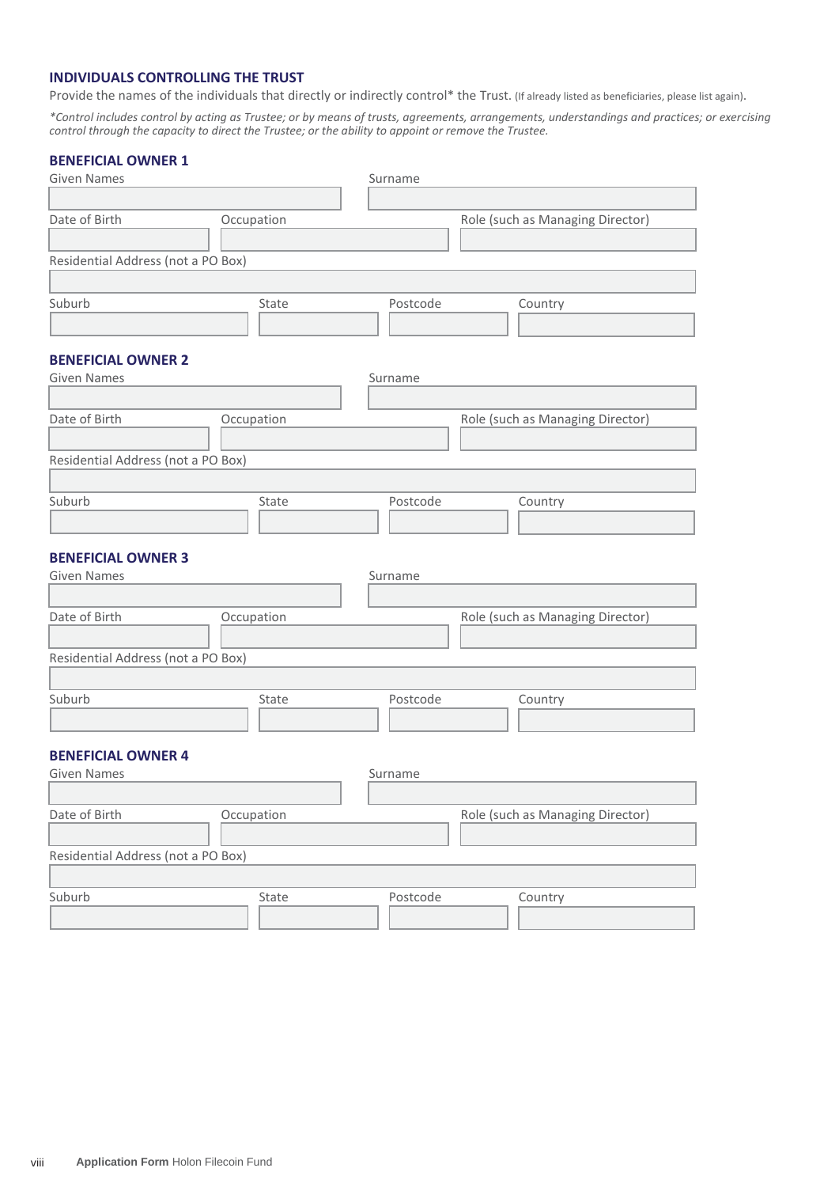# **INDIVIDUALS CONTROLLING THE TRUST**

Provide the names of the individuals that directly or indirectly control\* the Trust. (If already listed as beneficiaries, please list again).

*\*Control includes control by acting as Trustee; or by means of trusts, agreements, arrangements, understandings and practices; or exercising control through the capacity to direct the Trustee; or the ability to appoint or remove the Trustee.*

# **BENEFICIAL OWNER 1**

| <b>Given Names</b>                 |            | Surname  |                                  |
|------------------------------------|------------|----------|----------------------------------|
|                                    |            |          |                                  |
| Date of Birth                      | Occupation |          | Role (such as Managing Director) |
|                                    |            |          |                                  |
| Residential Address (not a PO Box) |            |          |                                  |
|                                    |            |          |                                  |
| Suburb                             | State      | Postcode | Country                          |
|                                    |            |          |                                  |
|                                    |            |          |                                  |
| <b>BENEFICIAL OWNER 2</b>          |            |          |                                  |
| <b>Given Names</b>                 |            | Surname  |                                  |
|                                    |            |          |                                  |
| Date of Birth                      | Occupation |          | Role (such as Managing Director) |
|                                    |            |          |                                  |
| Residential Address (not a PO Box) |            |          |                                  |
|                                    |            |          |                                  |
| Suburb                             | State      | Postcode | Country                          |
|                                    |            |          |                                  |
| <b>BENEFICIAL OWNER 3</b>          |            |          |                                  |
| <b>Given Names</b>                 |            | Surname  |                                  |
|                                    |            |          |                                  |
| Date of Birth                      | Occupation |          | Role (such as Managing Director) |
|                                    |            |          |                                  |
| Residential Address (not a PO Box) |            |          |                                  |
|                                    |            |          |                                  |
| Suburb                             | State      | Postcode | Country                          |
|                                    |            |          |                                  |
|                                    |            |          |                                  |
| <b>BENEFICIAL OWNER 4</b>          |            |          |                                  |
| <b>Given Names</b>                 |            | Surname  |                                  |
|                                    |            |          |                                  |
| Date of Birth                      | Occupation |          | Role (such as Managing Director) |
|                                    |            |          |                                  |
| Residential Address (not a PO Box) |            |          |                                  |
|                                    |            |          |                                  |
| Suburb                             | State      | Postcode | Country                          |
|                                    |            |          |                                  |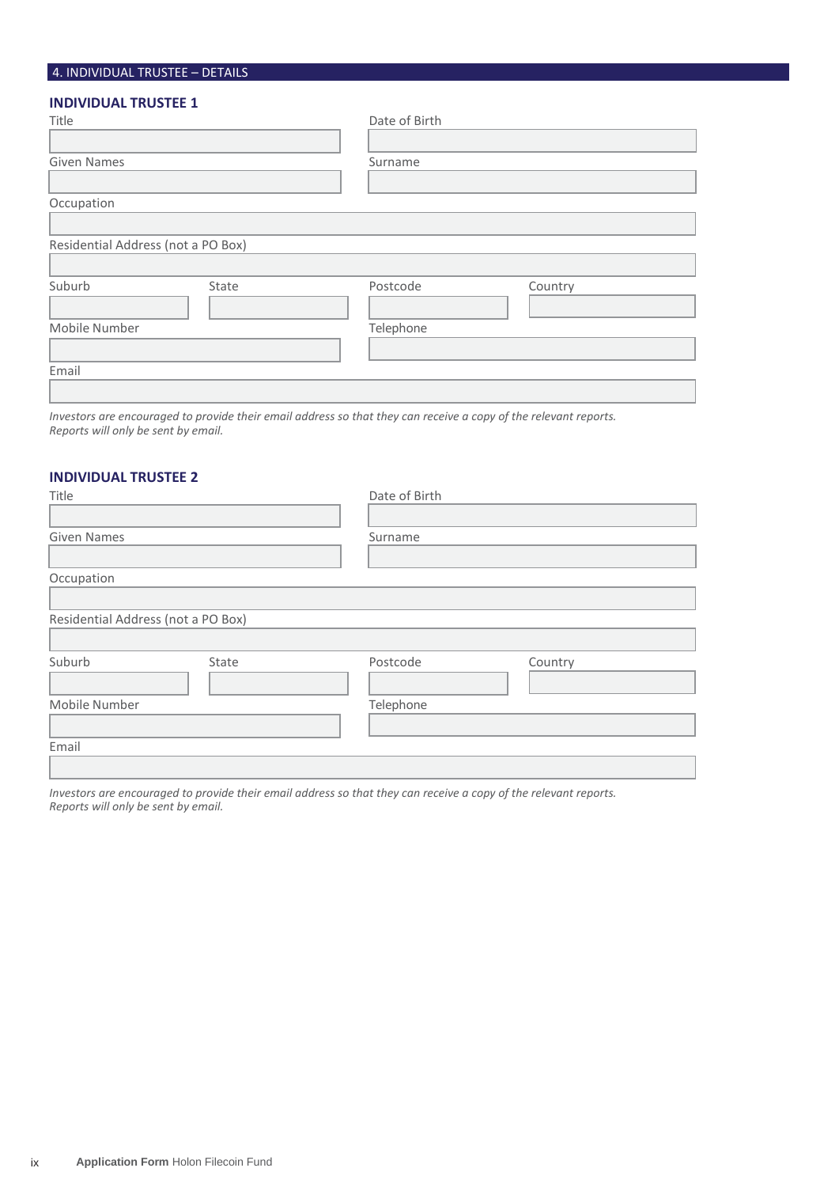# 4. INDIVIDUAL TRUSTEE – DETAILS

# **INDIVIDUAL TRUSTEE 1**

| Title                              |       | Date of Birth |         |  |
|------------------------------------|-------|---------------|---------|--|
|                                    |       |               |         |  |
| <b>Given Names</b>                 |       | Surname       |         |  |
|                                    |       |               |         |  |
| Occupation                         |       |               |         |  |
|                                    |       |               |         |  |
| Residential Address (not a PO Box) |       |               |         |  |
|                                    |       |               |         |  |
| Suburb                             | State | Postcode      | Country |  |
|                                    |       |               |         |  |
| Mobile Number                      |       | Telephone     |         |  |
|                                    |       |               |         |  |
| Email                              |       |               |         |  |
|                                    |       |               |         |  |

*Investors are encouraged to provide their email address so that they can receive a copy of the relevant reports. Reports will only be sent by email.*

# **INDIVIDUAL TRUSTEE 2**

| Title                              |       | Date of Birth |         |
|------------------------------------|-------|---------------|---------|
|                                    |       |               |         |
| Given Names                        |       | Surname       |         |
|                                    |       |               |         |
| Occupation                         |       |               |         |
|                                    |       |               |         |
| Residential Address (not a PO Box) |       |               |         |
|                                    |       |               |         |
| Suburb                             | State | Postcode      | Country |
|                                    |       |               |         |
| Mobile Number                      |       | Telephone     |         |
|                                    |       |               |         |
| Email                              |       |               |         |
|                                    |       |               |         |

*Investors are encouraged to provide their email address so that they can receive a copy of the relevant reports. Reports will only be sent by email.*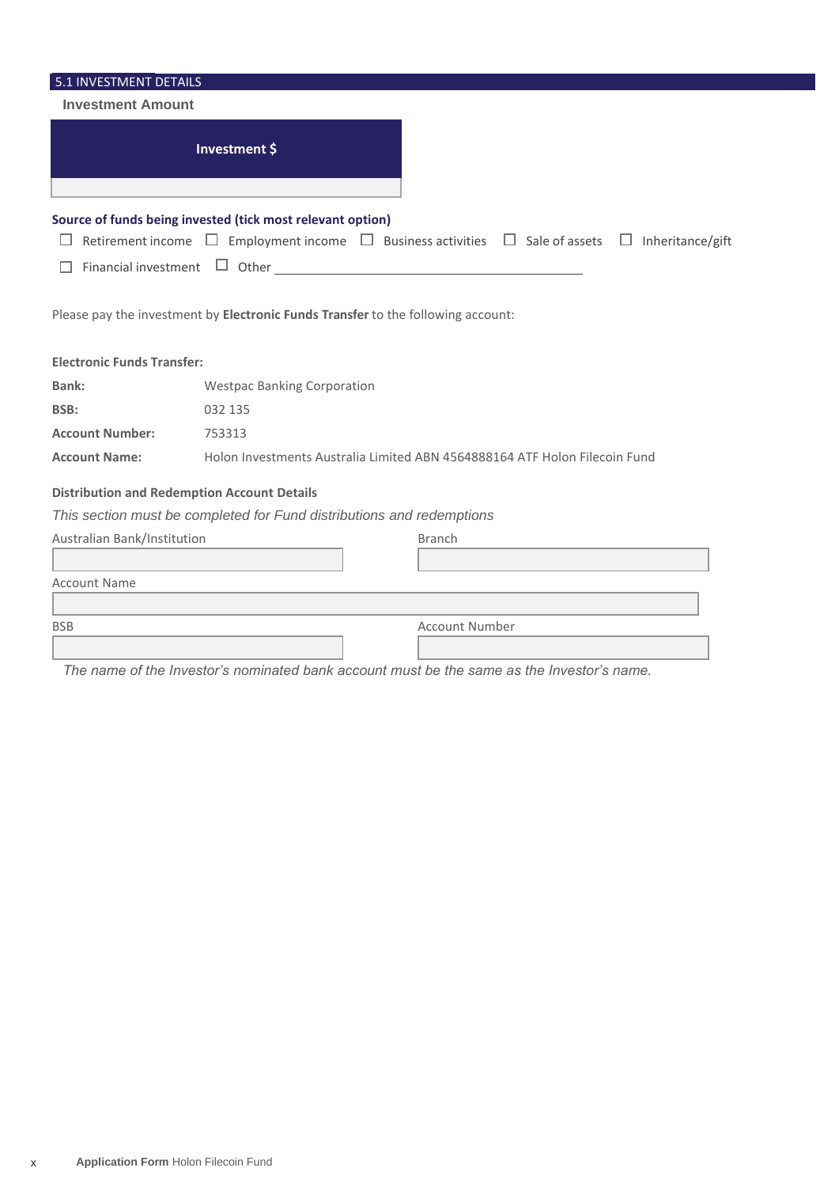| 5.1 INVESTMENT DETAILS            |                                                                                             |                       |                       |
|-----------------------------------|---------------------------------------------------------------------------------------------|-----------------------|-----------------------|
| <b>Investment Amount</b>          |                                                                                             |                       |                       |
|                                   | Investment \$                                                                               |                       |                       |
|                                   | Source of funds being invested (tick most relevant option)                                  |                       |                       |
| ப                                 | Retirement income $\Box$ Employment income $\Box$ Business activities $\Box$ Sale of assets |                       | Inheritance/gift<br>ш |
| П                                 | Financial investment $\Box$ Other $\Box$                                                    |                       |                       |
|                                   |                                                                                             |                       |                       |
|                                   | Please pay the investment by Electronic Funds Transfer to the following account:            |                       |                       |
| <b>Electronic Funds Transfer:</b> |                                                                                             |                       |                       |
| Bank:                             | <b>Westpac Banking Corporation</b>                                                          |                       |                       |
| BSB:                              | 032 135                                                                                     |                       |                       |
| <b>Account Number:</b>            | 753313                                                                                      |                       |                       |
| <b>Account Name:</b>              | Holon Investments Australia Limited ABN 4564888164 ATF Holon Filecoin Fund                  |                       |                       |
|                                   | <b>Distribution and Redemption Account Details</b>                                          |                       |                       |
|                                   | This section must be completed for Fund distributions and redemptions                       |                       |                       |
| Australian Bank/Institution       |                                                                                             | <b>Branch</b>         |                       |
|                                   |                                                                                             |                       |                       |
| <b>Account Name</b>               |                                                                                             |                       |                       |
|                                   |                                                                                             |                       |                       |
| <b>BSB</b>                        |                                                                                             | <b>Account Number</b> |                       |
|                                   |                                                                                             |                       |                       |

*The name of the Investor's nominated bank account must be the same as the Investor's name.*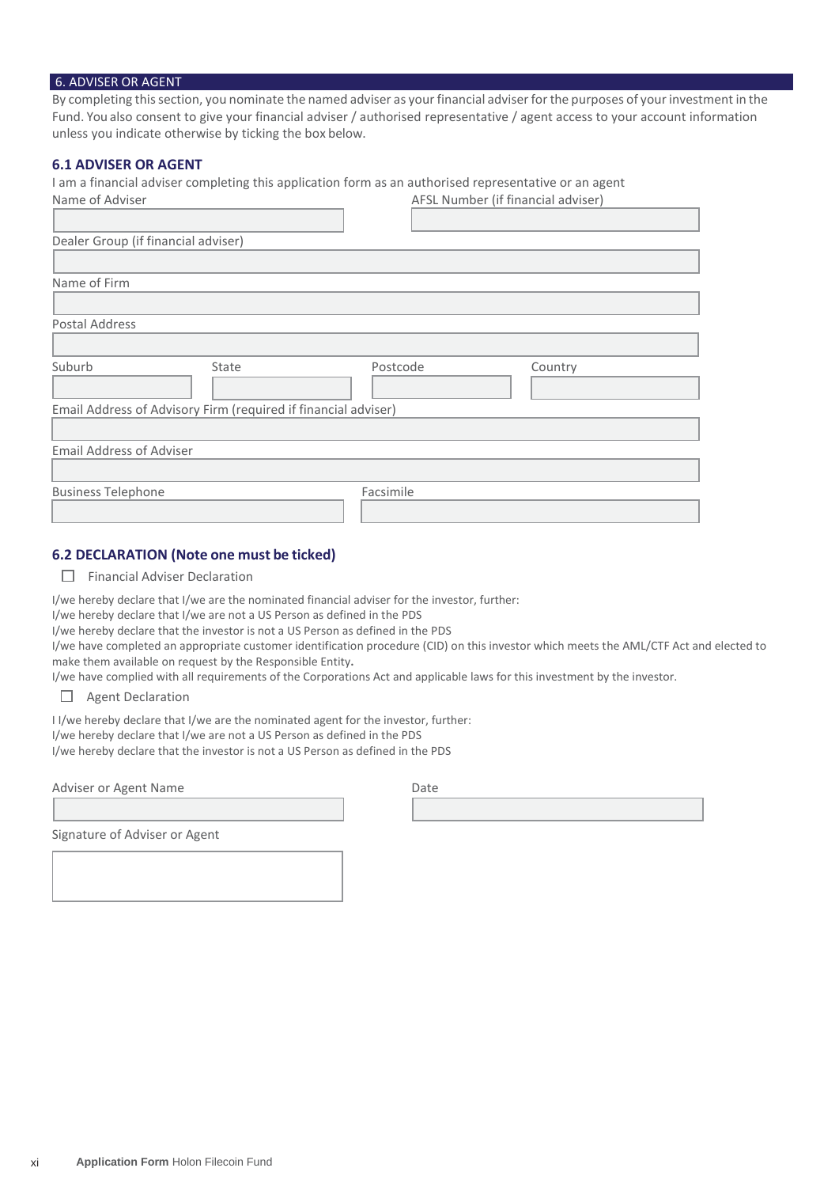#### 6. ADVISER OR AGENT

By completing this section, you nominate the named adviser as your financial adviser for the purposes of your investment in the Fund. You also consent to give your financial adviser / authorised representative / agent access to your account information unless you indicate otherwise by ticking the box below.

### **6.1 ADVISER OR AGENT**

I am a financial adviser completing this application form as an authorised representative or an agent

| Name of Adviser                                                |       | AFSL Number (if financial adviser) |         |
|----------------------------------------------------------------|-------|------------------------------------|---------|
|                                                                |       |                                    |         |
| Dealer Group (if financial adviser)                            |       |                                    |         |
|                                                                |       |                                    |         |
| Name of Firm                                                   |       |                                    |         |
|                                                                |       |                                    |         |
| Postal Address                                                 |       |                                    |         |
|                                                                |       |                                    |         |
| Suburb                                                         | State | Postcode                           | Country |
|                                                                |       |                                    |         |
| Email Address of Advisory Firm (required if financial adviser) |       |                                    |         |
|                                                                |       |                                    |         |
| <b>Email Address of Adviser</b>                                |       |                                    |         |
|                                                                |       |                                    |         |
| <b>Business Telephone</b>                                      |       | Facsimile                          |         |
|                                                                |       |                                    |         |

# **6.2 DECLARATION (Note one must be ticked)**

 $\Box$  Financial Adviser Declaration

I/we hereby declare that I/we are the nominated financial adviser for the investor, further:

I/we hereby declare that I/we are not a US Person as defined in the PDS

I/we hereby declare that the investor is not a US Person as defined in the PDS

I/we have completed an appropriate customer identification procedure (CID) on this investor which meets the AML/CTF Act and elected to make them available on request by the Responsible Entity**.**

I/we have complied with all requirements of the Corporations Act and applicable laws for this investment by the investor.

 $\Box$  Agent Declaration

I I/we hereby declare that I/we are the nominated agent for the investor, further:

I/we hereby declare that I/we are not a US Person as defined in the PDS I/we hereby declare that the investor is not a US Person as defined in the PDS

Adviser or Agent Name

Signature of Adviser or Agent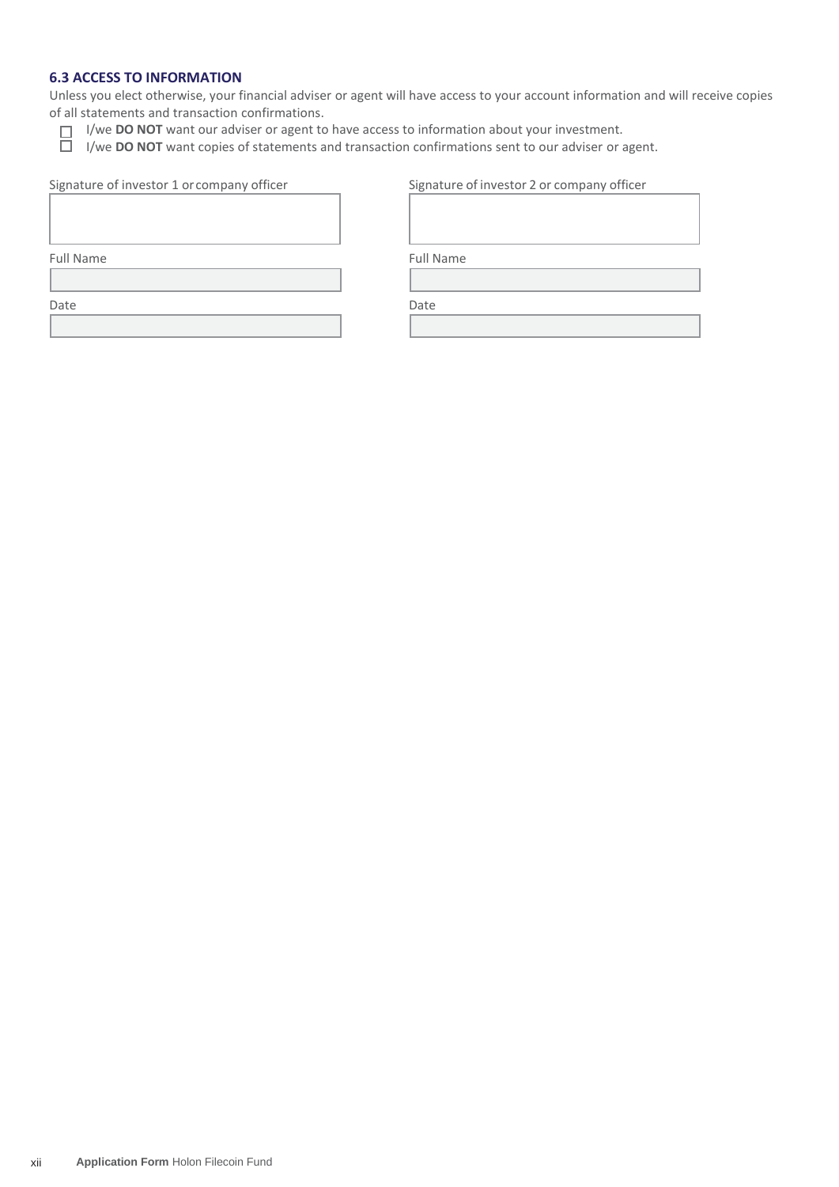# **6.3 ACCESS TO INFORMATION**

Unless you elect otherwise, your financial adviser or agent will have access to your account information and will receive copies of all statements and transaction confirmations.

I/we **DO NOT** want our adviser or agent to have access to information about your investment.

I/we **DO NOT** want copies of statements and transaction confirmations sent to our adviser or agent.

|  | Signature of investor 1 or company officer |
|--|--------------------------------------------|
|--|--------------------------------------------|

| Signature of investor 1 or company officer | Signature of investor 2 or company officer |  |
|--------------------------------------------|--------------------------------------------|--|
|                                            |                                            |  |

Full Name Full Name

Date **Date** Date **Date** Date **Date**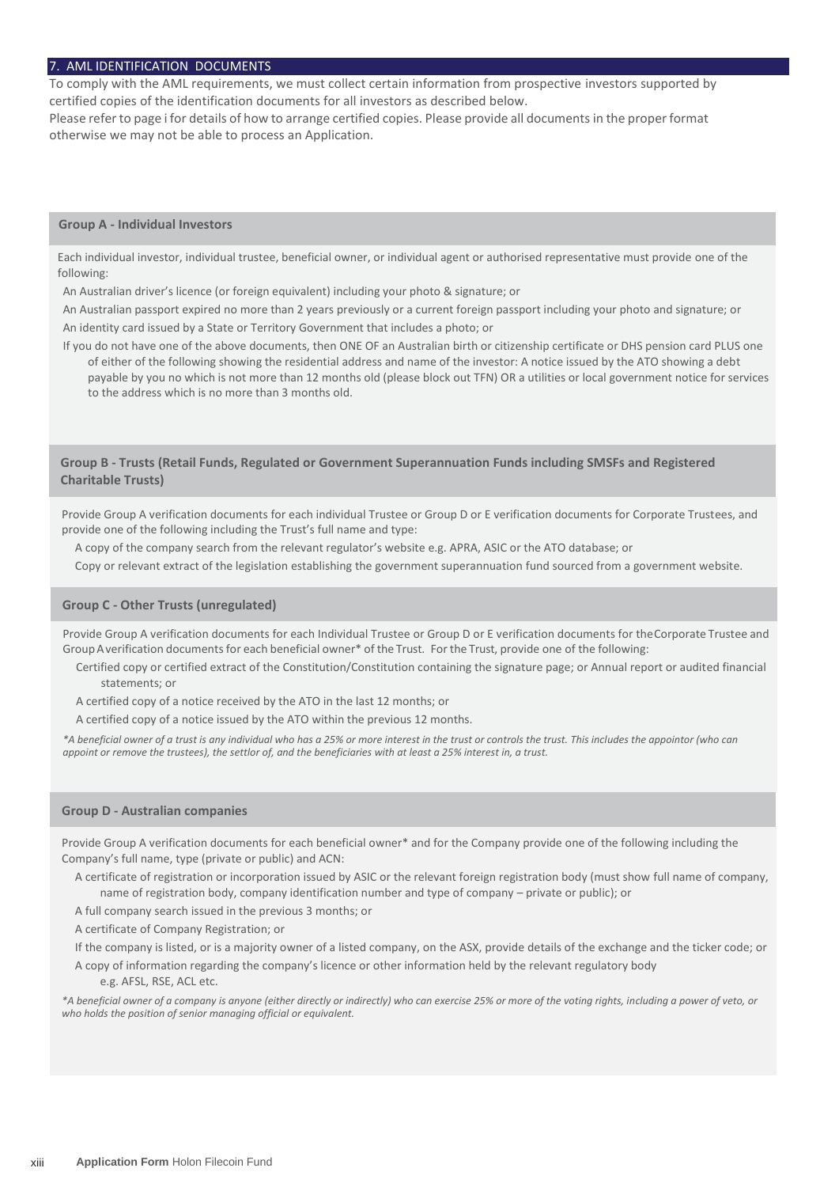#### 7. AML IDENTIFICATION DOCUMENTS

To comply with the AML requirements, we must collect certain information from prospective investors supported by certified copies of the identification documents for all investors as described below.

Please refer to page i for details of how to arrange certified copies. Please provide all documents in the proper format otherwise we may not be able to process an Application.

#### **Group A - Individual Investors**

Each individual investor, individual trustee, beneficial owner, or individual agent or authorised representative must provide one of the following:

An Australian driver's licence (or foreign equivalent) including your photo & signature; or

An Australian passport expired no more than 2 years previously or a current foreign passport including your photo and signature; or An identity card issued by a State or Territory Government that includes a photo; or

If you do not have one of the above documents, then ONE OF an Australian birth or citizenship certificate or DHS pension card PLUS one of either of the following showing the residential address and name of the investor: A notice issued by the ATO showing a debt payable by you no which is not more than 12 months old (please block out TFN) OR a utilities or local government notice for services to the address which is no more than 3 months old.

#### **Group B - Trusts (Retail Funds, Regulated or Government Superannuation Funds including SMSFs and Registered Charitable Trusts)**

Provide Group A verification documents for each individual Trustee or Group D or E verification documents for Corporate Trustees, and provide one of the following including the Trust's full name and type:

A copy of the company search from the relevant regulator's website e.g. APRA, ASIC or the ATO database; or

Copy or relevant extract of the legislation establishing the government superannuation fund sourced from a government website.

#### **Group C - Other Trusts (unregulated)**

Provide Group A verification documents for each Individual Trustee or Group D or E verification documents for theCorporate Trustee and Group Averification documents for each beneficial owner\* of the Trust. For the Trust, provide one of the following:

Certified copy or certified extract of the Constitution/Constitution containing the signature page; or Annual report or audited financial statements; or

A certified copy of a notice received by the ATO in the last 12 months; or

A certified copy of a notice issued by the ATO within the previous 12 months.

*\*A beneficial owner of a trust is any individual who has a 25% or more interest in the trust or controls the trust. This includes the appointor (who can appoint or remove the trustees), the settlor of, and the beneficiaries with at least a 25% interest in, a trust.*

#### **Group D - Australian companies**

Provide Group A verification documents for each beneficial owner\* and for the Company provide one of the following including the Company's full name, type (private or public) and ACN:

A certificate of registration or incorporation issued by ASIC or the relevant foreign registration body (must show full name of company, name of registration body, company identification number and type of company – private or public); or

A full company search issued in the previous 3 months; or

A certificate of Company Registration; or

If the company is listed, or is a majority owner of a listed company, on the ASX, provide details of the exchange and the ticker code; or

A copy of information regarding the company's licence or other information held by the relevant regulatory body e.g. AFSL, RSE, ACL etc.

*\*A beneficial owner of a company is anyone (either directly or indirectly) who can exercise 25% or more of the voting rights, including a power of veto, or who holds the position of senior managing official or equivalent.*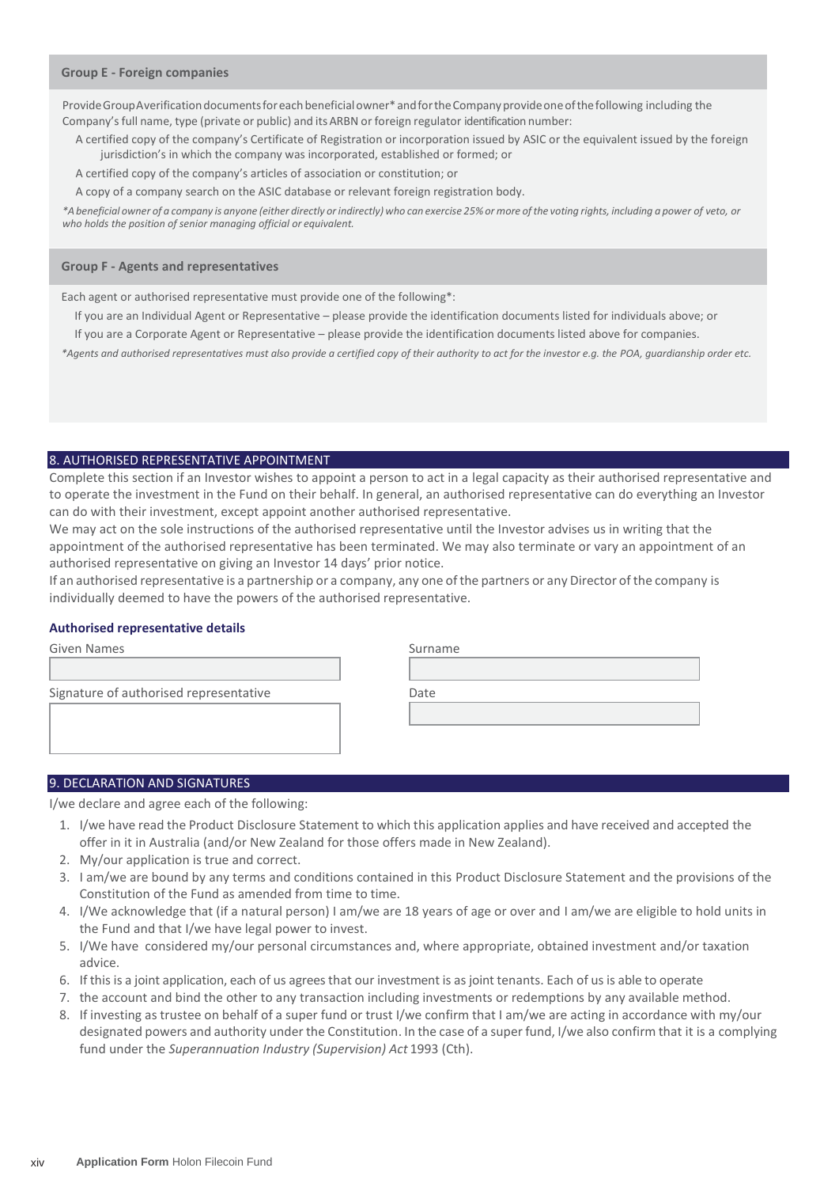#### **Group E - Foreign companies**

Provide GroupAverification documents for each beneficial owner\* and for the Company provide one of the following including the Company's full name, type (private or public) and its ARBN or foreign regulator identification number:

A certified copy of the company's Certificate of Registration or incorporation issued by ASIC or the equivalent issued by the foreign jurisdiction's in which the company was incorporated, established or formed; or

A certified copy of the company's articles of association or constitution; or

A copy of a company search on the ASIC database or relevant foreign registration body.

\*A beneficial owner of a company is anyone (either directly or indirectly) who can exercise 25% or more of the voting rights, including a power of veto, or *who holds the position of senior managing official or equivalent.*

#### **Group F - Agents and representatives**

Each agent or authorised representative must provide one of the following\*:

If you are an Individual Agent or Representative – please provide the identification documents listed for individuals above; or If you are a Corporate Agent or Representative – please provide the identification documents listed above for companies.

*\*Agents and authorised representatives must also provide a certified copy of their authority to act for the investor e.g. the POA, guardianship order etc.*

#### 8. AUTHORISED REPRESENTATIVE APPOINTMENT

Complete this section if an Investor wishes to appoint a person to act in a legal capacity as their authorised representative and to operate the investment in the Fund on their behalf. In general, an authorised representative can do everything an Investor can do with their investment, except appoint another authorised representative.

We may act on the sole instructions of the authorised representative until the Investor advises us in writing that the appointment of the authorised representative has been terminated. We may also terminate or vary an appointment of an authorised representative on giving an Investor 14 days' prior notice.

If an authorised representative is a partnership or a company, any one ofthe partners or any Director of the company is individually deemed to have the powers of the authorised representative.

#### **Authorised representative details**

| Given Names                            | Surname |
|----------------------------------------|---------|
|                                        |         |
| Signature of authorised representative | Date    |
|                                        |         |
|                                        |         |
|                                        |         |

#### 9. DECLARATION AND SIGNATURES

I/we declare and agree each of the following:

- 1. I/we have read the Product Disclosure Statement to which this application applies and have received and accepted the offer in it in Australia (and/or New Zealand for those offers made in New Zealand).
- 2. My/our application is true and correct.
- 3. I am/we are bound by any terms and conditions contained in this Product Disclosure Statement and the provisions of the Constitution of the Fund as amended from time to time.
- 4. I/We acknowledge that (if a natural person) I am/we are 18 years of age or over and I am/we are eligible to hold units in the Fund and that I/we have legal power to invest.
- 5. I/We have considered my/our personal circumstances and, where appropriate, obtained investment and/or taxation advice.
- 6. If this is a joint application, each of us agreesthat our investment is as joint tenants. Each of us is able to operate
- 7. the account and bind the other to any transaction including investments or redemptions by any available method.
- 8. If investing as trustee on behalf of a super fund or trust I/we confirm that I am/we are acting in accordance with my/our designated powers and authority under the Constitution. In the case of a super fund, I/we also confirm that it is a complying fund under the *Superannuation Industry (Supervision) Act* 1993 (Cth).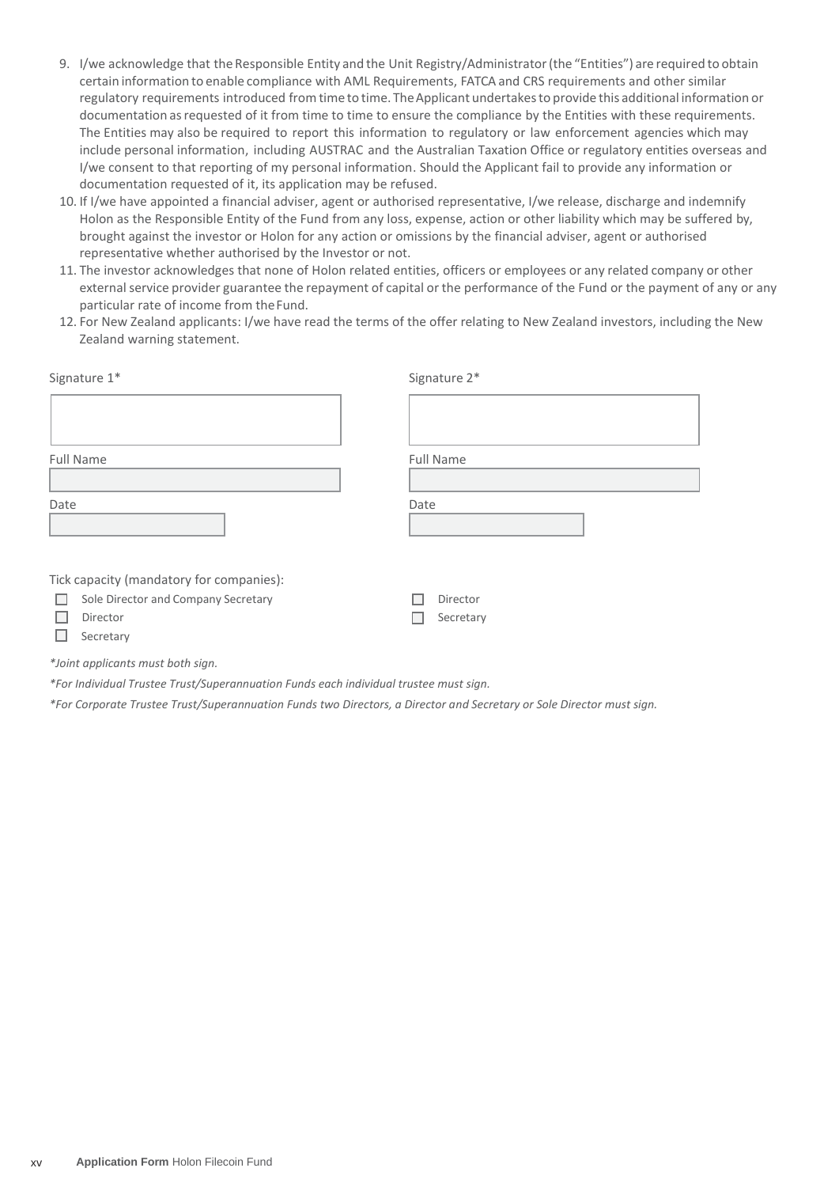- 9. I/we acknowledge that the Responsible Entity and the Unit Registry/Administrator (the "Entities") are required to obtain certain information to enable compliance with AML Requirements, FATCA and CRS requirements and other similar regulatory requirements introduced from time to time. The Applicant undertakes to provide this additional information or documentation asrequested of it from time to time to ensure the compliance by the Entities with these requirements. The Entities may also be required to report this information to regulatory or law enforcement agencies which may include personal information, including AUSTRAC and the Australian Taxation Office or regulatory entities overseas and I/we consent to that reporting of my personal information. Should the Applicant fail to provide any information or documentation requested of it, its application may be refused.
- 10. If I/we have appointed a financial adviser, agent or authorised representative, I/we release, discharge and indemnify Holon as the Responsible Entity of the Fund from any loss, expense, action or other liability which may be suffered by, brought against the investor or Holon for any action or omissions by the financial adviser, agent or authorised representative whether authorised by the Investor or not.
- 11. The investor acknowledges that none of Holon related entities, officers or employees or any related company or other external service provider guarantee the repayment of capital or the performance of the Fund or the payment of any or any particular rate of income from theFund.
- 12. For New Zealand applicants: I/we have read the terms of the offer relating to New Zealand investors, including the New Zealand warning statement.

| Signature 1*                                                                                                   | Signature 2*          |
|----------------------------------------------------------------------------------------------------------------|-----------------------|
|                                                                                                                |                       |
| Full Name                                                                                                      | Full Name             |
|                                                                                                                |                       |
| Date                                                                                                           | Date                  |
| Tick capacity (mandatory for companies):<br>Sole Director and Company Secretary<br>L.<br>Director<br>Secretary | Director<br>Secretary |

*\*Joint applicants must both sign.*

*\*For Individual Trustee Trust/Superannuation Funds each individual trustee must sign.*

*\*For Corporate Trustee Trust/Superannuation Funds two Directors, a Director and Secretary or Sole Director must sign.*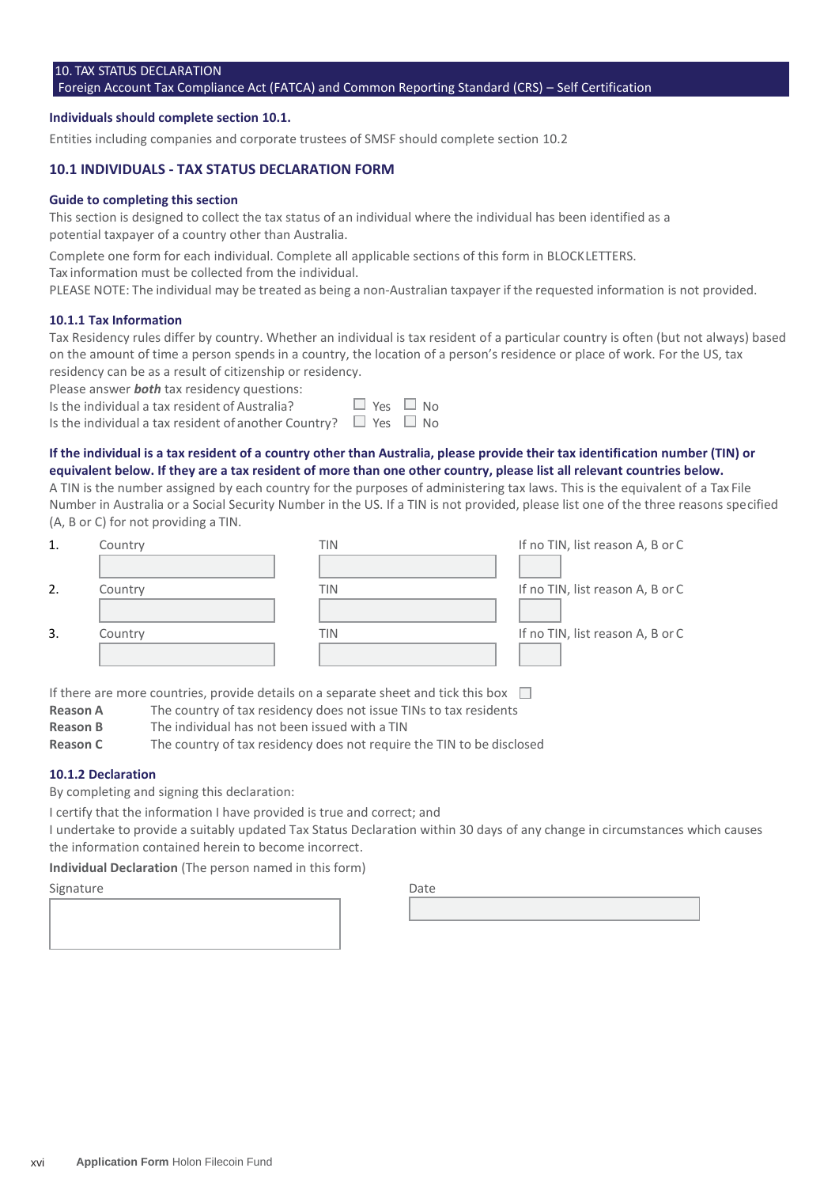# 10. TAX STATUS DECLARATION

#### Foreign Account Tax Compliance Act (FATCA) and Common Reporting Standard (CRS) – Self Certification

#### **Individuals should complete section 10.1.**

Entities including companies and corporate trustees of SMSF should complete section 10.2

#### **10.1 INDIVIDUALS - TAX STATUS DECLARATION FORM**

#### **Guide to completing this section**

This section is designed to collect the tax status of an individual where the individual has been identified as a potential taxpayer of a country other than Australia.

Complete one form for each individual. Complete all applicable sections of this form in BLOCKLETTERS.

Tax information must be collected from the individual.

PLEASE NOTE: The individual may be treated as being a non-Australian taxpayer if the requested information is not provided.

#### **10.1.1 Tax Information**

Tax Residency rules differ by country. Whether an individual is tax resident of a particular country is often (but not always) based on the amount of time a person spends in a country, the location of a person's residence or place of work. For the US, tax residency can be as a result of citizenship or residency.

Please answer *both* tax residency questions:

Is the individual a tax resident of Australia?  $\square$  Y

Is the individual a tax resident of another Country?  $\Box$  Ye

#### **If the individual is a tax resident of a country other than Australia, please provide their tax identification number (TIN) or equivalent below. If they are a tax resident of more than one other country, please list all relevant countries below.**

A TIN is the number assigned by each country for the purposes of administering tax laws. This is the equivalent of a Tax File Number in Australia or a Social Security Number in the US. If a TIN is not provided, please list one of the three reasons specified (A, B or C) for not providing a TIN.

| 1. | Country | TIN | If no TIN, list reason A, B or C |
|----|---------|-----|----------------------------------|
|    |         |     |                                  |
| 2. | Country | TIN | If no TIN, list reason A, B or C |
|    |         |     |                                  |
| 3. | Country | TIN | If no TIN, list reason A, B or C |
|    |         |     |                                  |

If there are more countries, provide details on a separate sheet and tick this box  $\square$ 

- **Reason A** The country of tax residency does not issue TINs to tax residents
- **Reason B** The individual has not been issued with a TIN

**Reason C** The country of tax residency does not require the TIN to be disclosed

#### **10.1.2 Declaration**

By completing and signing this declaration:

I certify that the information I have provided is true and correct; and

I undertake to provide a suitably updated Tax Status Declaration within 30 days of any change in circumstances which causes the information contained herein to become incorrect.

**Individual Declaration** (The person named in this form)

# Signature Date

xvi **Application Form** Holon Filecoin Fund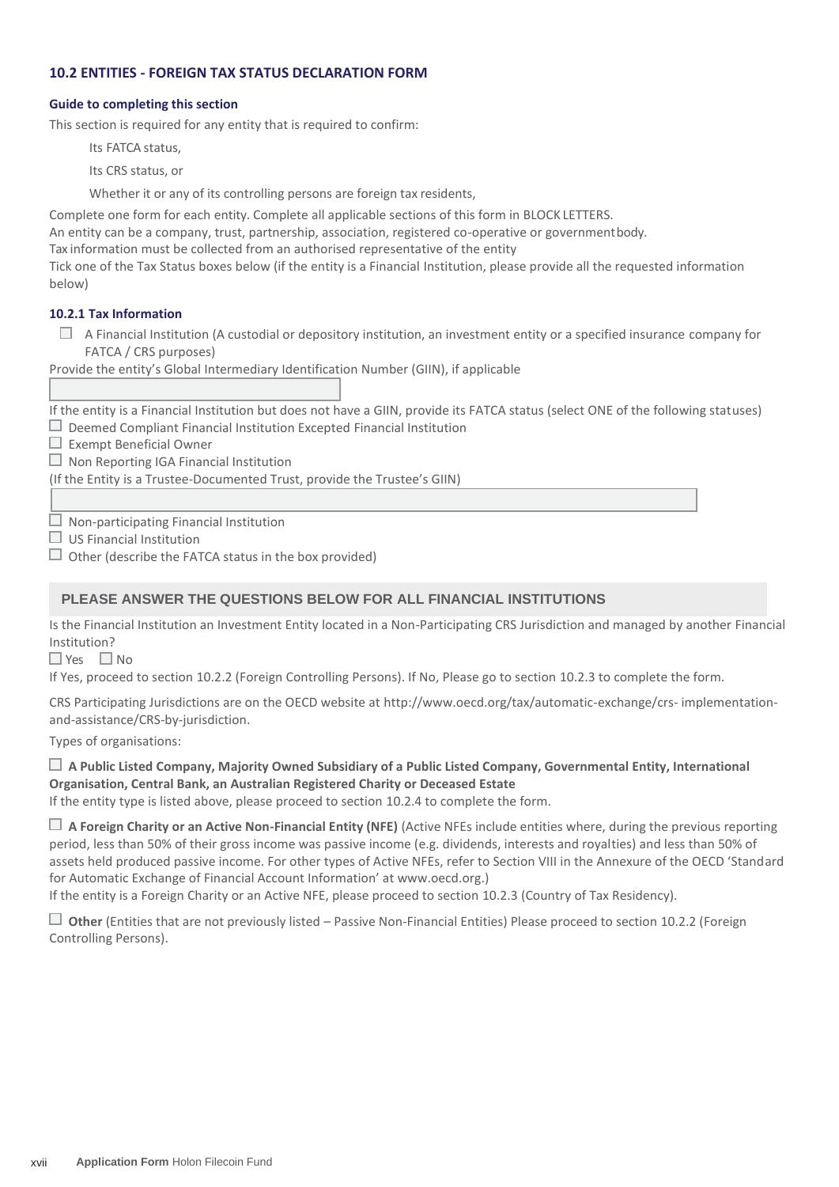# **10.2 ENTITIES - FOREIGN TAX STATUS DECLARATION FORM**

### **Guide to completing this section**

This section is required for any entity that is required to confirm:

Its FATCA status,

Its CRS status, or

Whether it or any of its controlling persons are foreign tax residents,

Complete one form for each entity. Complete all applicable sections of this form in BLOCK LETTERS.

An entity can be a company, trust, partnership, association, registered co-operative or governmentbody.

Tax information must be collected from an authorised representative of the entity

Tick one of the Tax Status boxes below (if the entity is a Financial Institution, please provide all the requested information below)

# **10.2.1 Tax Information**

 $\Box$  A Financial Institution (A custodial or depository institution, an investment entity or a specified insurance company for FATCA / CRS purposes)

Provide the entity's Global Intermediary Identification Number (GIIN), if applicable

If the entity is a Financial Institution but does not have a GIIN, provide its FATCA status (select ONE of the following statuses)  $\Box$  Deemed Compliant Financial Institution Excepted Financial Institution

 $\Box$  Exempt Beneficial Owner

 $\Box$  Non Reporting IGA Financial Institution

(If the Entity is a Trustee-Documented Trust, provide the Trustee's GIIN)

 $\Box$  Non-participating Financial Institution

 $\Box$  US Financial Institution

 $\Box$  Other (describe the FATCA status in the box provided)

# **PLEASE ANSWER THE QUESTIONS BELOW FOR ALL FINANCIAL INSTITUTIONS**

Is the Financial Institution an Investment Entity located in a Non-Participating CRS Jurisdiction and managed by another Financial Institution?

 $\Box$  Yes  $\Box$  No

If Yes, proceed to section 10.2.2 (Foreign Controlling Persons). If No, Please go to section 10.2.3 to complete the form.

CRS Participating Jurisdictions are on the OECD website at<http://www.oecd.org/tax/automatic-exchange/crs-> implementationand-assistance/CRS-by-jurisdiction.

Types of organisations:

# **A Public Listed Company, Majority Owned Subsidiary of a Public Listed Company, Governmental Entity, International Organisation, Central Bank, an Australian Registered Charity or Deceased Estate**

If the entity type is listed above, please proceed to section 10.2.4 to complete the form.

 **A Foreign Charity or an Active Non-Financial Entity (NFE)** (Active NFEs include entities where, during the previous reporting period, less than 50% of their gross income was passive income (e.g. dividends, interests and royalties) and less than 50% of assets held produced passive income. For other types of Active NFEs, refer to Section VIII in the Annexure of the OECD 'Standard for Automatic Exchange of Financial Account Information' at www.oecd.org.)

If the entity is a Foreign Charity or an Active NFE, please proceed to section 10.2.3 (Country of Tax Residency).

 **Other** (Entities that are not previously listed – Passive Non-Financial Entities) Please proceed to section 10.2.2 (Foreign Controlling Persons).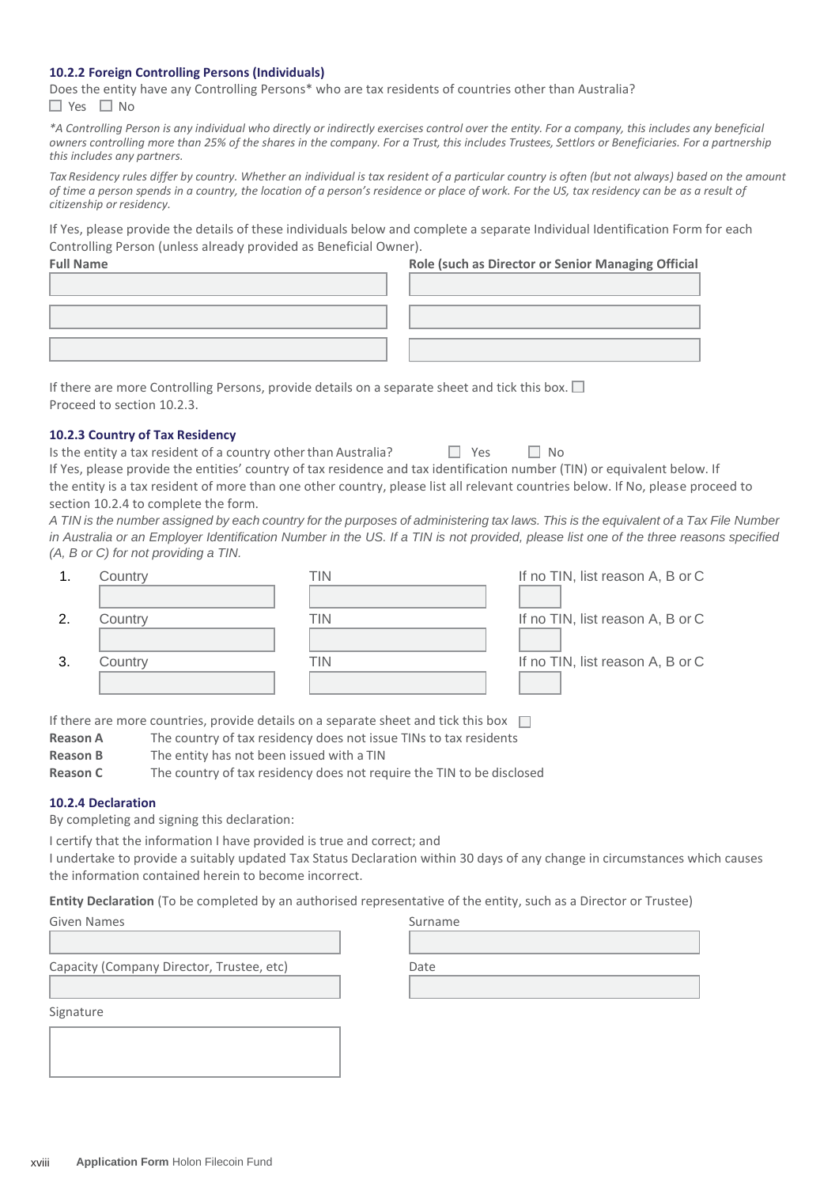#### **10.2.2 Foreign Controlling Persons (Individuals)**

Does the entity have any Controlling Persons\* who are tax residents of countries other than Australia?  $\Box$  Yes  $\Box$  No

*\*A Controlling Person is any individual who directly or indirectly exercises control over the entity. For a company, this includes any beneficial owners controlling more than 25% of the shares in the company. For a Trust, this includes Trustees, Settlors or Beneficiaries. For a partnership this includes any partners.*

Tax Residency rules differ by country. Whether an individual is tax resident of a particular country is often (but not always) based on the amount *of time a person spends in a country, the location of a person's residence or place of work. For the US, tax residency can be as a result of citizenship or residency.*

If Yes, please provide the details of these individuals below and complete a separate Individual Identification Form for each Controlling Person (unless already provided as Beneficial Owner).

| <b>Full Name</b> | Role (such as Director or Senior Managing Official |
|------------------|----------------------------------------------------|
|                  |                                                    |
|                  |                                                    |
|                  |                                                    |
|                  |                                                    |
|                  |                                                    |

If there are more Controlling Persons, provide details on a separate sheet and tick this box.  $\square$ Proceed to section 10.2.3.

#### **10.2.3 Country of Tax Residency**

| Is the entity a tax resident of a country other than Australia?                                                                 | $\Box$ Yes | $\Box$ No |  |
|---------------------------------------------------------------------------------------------------------------------------------|------------|-----------|--|
| If Yes, please provide the entities' country of tax residence and tax identification number (TIN) or equivalent below. If       |            |           |  |
| the entity is a tax resident of more than one other country, please list all relevant countries below. If No, please proceed to |            |           |  |
| section 10.2.4 to complete the form.                                                                                            |            |           |  |

*A TIN is the number assigned by each country for the purposes of administering tax laws. This is the equivalent of a Tax File Number in Australia or an Employer Identification Number in the US. If a TIN is not provided, please list one of the three reasons specified (A, B or C) for not providing a TIN.*

|    | Country | TIN | If no TIN, list reason A, B or C |
|----|---------|-----|----------------------------------|
|    |         |     |                                  |
| 2  | Country | TIN | If no TIN, list reason A, B or C |
|    |         |     |                                  |
| 3. | Country | TIN | If no TIN, list reason A, B or C |
|    |         |     |                                  |

If there are more countries, provide details on a separate sheet and tick this box  $\Box$ 

- **Reason A** The country of tax residency does not issue TINs to tax residents
- **Reason B** The entity has not been issued with a TIN
- **Reason C** The country of tax residency does not require the TIN to be disclosed

#### **10.2.4 Declaration**

By completing and signing this declaration:

I certify that the information I have provided is true and correct; and

I undertake to provide a suitably updated Tax Status Declaration within 30 days of any change in circumstances which causes the information contained herein to become incorrect.

**Entity Declaration** (To be completed by an authorised representative of the entity, such as a Director or Trustee)

| Given Names                               | Surname |
|-------------------------------------------|---------|
|                                           |         |
| Capacity (Company Director, Trustee, etc) | Date    |
|                                           |         |
| Signature                                 |         |
|                                           |         |

| Date |  |  |
|------|--|--|
|      |  |  |